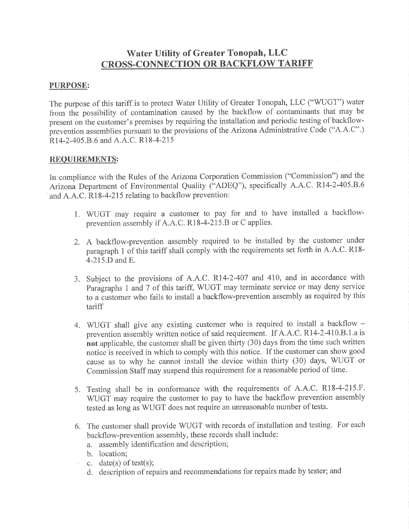# Water Utility of Greater Tonopah, LLC **CROSS-CONNECTION OR BACKFLOW TARIFF**

### PURPOSE:

The purpose of this tariff is to protect Water Utility of Greater Tonopah, LLC ("WUGT") water frorn the possibility of contamination caused by the backflow of contaminants that may be present on the customer's premises by requiring the installation and periodic testing of backflowprevention assemblies pursuant to the provisions of the Arizona Administrative Code ("A.A.C".) R<sub>14</sub>-2-405.B.6 and A.A.C. R<sub>18</sub>-4-215

### REQUIREMENTS:

In compliance with the Rules of the Arizona Corporation Commission ("Commission") and the Arizona Department of Environmental Quality ("ADEQ"), specifically A.A.C. R14-2-405.B.6 and A.A.C. R18-4-215 relating to backflow prevention:

- 1. WUGT may require a customer to pay for and to have installed a backflowprevention assembly if A.A.C. R18-4-215.8 or C applies.
- 2. A backflow-prevention assembly required to be installed by the customer under paragraph 1 of this tariff shall comply with the requirements set forth in A.A.C. Rl8- 4-215.D and E.
- 3. Subject to the provisions of A.A.C. R14-2-407 and 410, and in accordance with Paragraphs 1 and 7 of this tariff, WUGT may terminate service or may deny service to a customer who fails to install a backflow-prevention assembly as required by this tariff
- 4. WUGT shall give any existing customer who is required to install a backflow prevention assembly written notice of said requirement. If A.A.C. Rl4-2-410.8.1.a is not applicable, the customer shall be given thirty (30) days from the time such written notice is received in which to comply with this notice. If the customer can show good cause as to why he cannot install the device within thirty (30) days, WUGT or Commission Staff may suspend this requirement for a reasonable period of time.
- 5. Testing shall be in conformance with the requirements of A.A.C. R18-4-215.F. V/UGT may require the customer to pay to have the backflow prevention assembly tested as long as WUGT does not require an unreasonable number of tests.
- 6. The customer shall provide WUGT with records of installation and testing. For each backflow-prevention assembly, these records shall include:
	- a. assembly identification and description;
	- b. location;
	- c. date(s) of test(s);
	- d. description of repairs and recommendations for repairs made by tester; and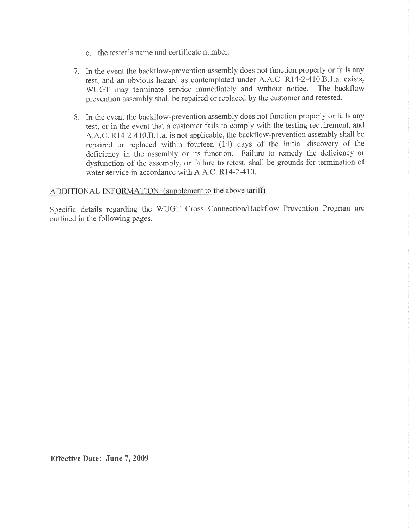- e. the tester's name and certificate number
- 7. In the event the backflow-prevention assembly does not function properly or fails any test, and an obvious hazard as contemplated under A.A.C. R14-2-410.B.1.a. exists, WHGT may terminate service immediately and without notice. The backflow WUGT may terminate service immediately and without notice. prevention assembly shall be repaired or replaced by the customer and retested.
- 8. In the event the backflow-prevention assembly does not function properly or fails any test, or in the event that a customer fails to comply with the testing requirement, and A.A.C. R14-2-410.8.1.a. is not applicable, the backflow-prevention assembly shall be repaired or replaced within fourteen (14) days of the initial discovery of the deficiency in the assembly or its function. Failure to remedy the deficiency or dysfunction of the assembly, or failure to retest, shall be grounds for termination of water service in accordance with A.A.C. RI4-2-4I0.

#### ADDITIONAL INFORMATION: (supplement to the above tariff)

Specific details regarding the WUGT Cross Connection/Backflow Prevention Program are outlined in the following pages.

Effective Date: June 7, 2009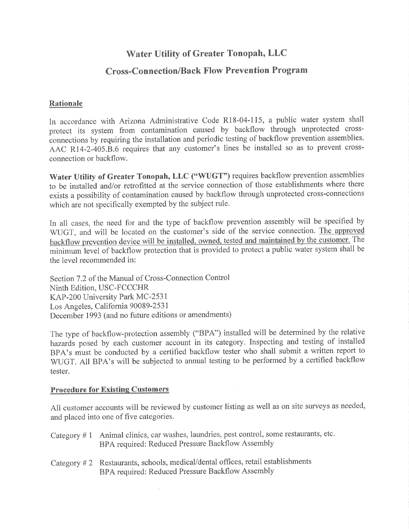# Water Utility of Greater Tonopah, LLC

## Cross-Connection/Back Flow Prevention Program

### Rationale

In accordance with Arizona Administrative Code R18-04-115, a public water system shall protect its system from contamination caused by backflow through unprotected crossconnections by requiring the installation and periodic testing of backflow prevention assemblies. AAC R14-2-405.B.6 requires that any customer's lines be installed so as to prevent crossconnection or backflow.

Water Utility of Greater Tonopah, LLC ("WUGT") requires backflow prevention assemblies to be installed and/or retrofitted at the service connection of those establishments where there exists a possibility of contamination caused by backflow through unprotected cross-connections which are not specifically exempted by the subject rule.

In all cases, the need for and the type of backflow prevention assembly will be specified by WUGT, and will be located on the customer's side of the service connection. The approved backflow prevention device will be installed, owned, tested and maintained by the customer. The minimum level of backflow protection that is provided to protect <sup>a</sup> public water system shall be the level recommended in:

Section 7.2 of the Manual of Cross-Connection Control Ninth Edition, USC-FCCCHR KAP-200 University Park MC-2531 Los Angeles, California 90089-2531 December 1993 (and no future editions or amendments)

The type of backflow-protection assembly ("BPA") installed will be determined by the relative hazardà posed by each customer account in its category. Inspecting and testing of installed BPA's must be conducted by a certified backflow tester who shall submit a written report to WUGT. All BPA's will be subjected to annual testing to be performed by a certified backflow tester.

#### Procedure for Existing Customers

All customer accounts will be reviewed by customer listing as well as on site surveys as needed, and placed into one of five categories.

| Category #1 Animal clinics, car washes, laundries, pest control, some restaurants, etc. |
|-----------------------------------------------------------------------------------------|
| BPA required: Reduced Pressure Backflow Assembly                                        |

Category # 2 Restaurants, schools, medical/dental offices, retail establishments BPA required: Reduced Pressure Backflow Assembly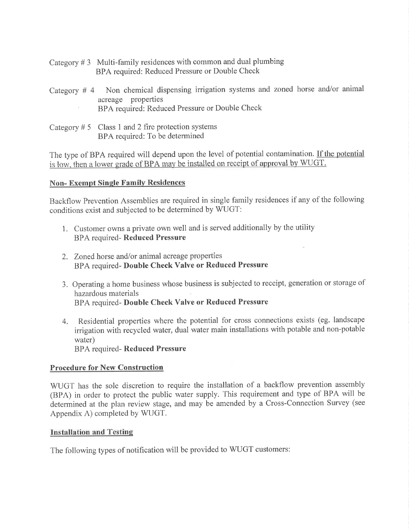- Category  $# 3$  Multi-family residences with common and dual plumbing BPA required: Reduced Pressure or Double Check
- Category # 4 Non chemical dispensing irrigation systems and zoned horse and/or animal BPA required: Reduced Pressure or Double Check
- Category  $# 5$  Class 1 and 2 fire protection systems BPA required: To be determined

The type of BPA required will depend upon the level of potential contamination. If the potential is low, then a lower grade of BPA may be installed on receipt of approval by WUG.

#### Non- Exempt Single Familv Residences

Backflow Prevention Assemblies are required in single family residences if any of the following conditions exist and subjected to be determined by WUGT:

- 1. Customer owns a private own well and is served additionally by the utility BPA required- Reduced Pressure
- 2. Zoned horse and/or animal acreage properties BPA required- Double Check Valve or Reduced Pressure
- 3. Operating a home business whose business is subjected to receipt, generation or storage of hazardous materials BPA required- Double Check Valve or Reduced Pressure
- 4. Residential properties where the potential for cross connections exists (eg. landscape irrigation with recycled water, dual water main installations with potable and non-potable water) BPA required- Reduced Pressure

Procedure for New Construction

WUGT has the sole discretion to require the installation of a backflow prevention assembly (BPA) in order to protect the public water supply. This requirement and type of BPA will be determined at the plan review stage, and may be amended by a Cross-Connection Survey (see Appendix A) completed by WUGT.

#### **Installation and Testing**

The following types of notification will be provided to WUGT customers: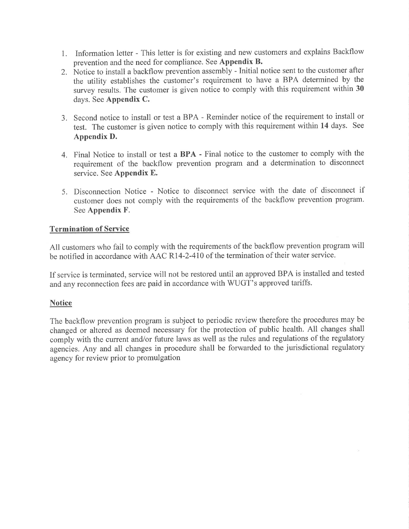- 1. Information letter This letter is for existing and new customers and explains Backflow prevention and the need for compliance. See Appendix B.
- 2. Ñotice to install a backflow prevention assembly Initial notice sent to the customer after the utility establishes the customer's requirement to have a BPA determined by the survey results. The customer is given notice to comply with this requirement within 30 days. See Appendix C.
- 3. Second notice to install or test a BPA Reminder notice of the requirement to install or test. The customer is given notice to comply with this requirement within 14 days. See Appendix D.
- 4. Final Notice to install or test a BPA Final notice to the customer to comply with the requirement of the backflow prevention program and a determination to disconnect service. See Appendix E.
- 5. Disconnection Notice Notice to disconnect service with the date of disconnect if customer does not comply with the requirements of the backflow prevention program. See Appendix F.

### **Termination of Service**

All customers who fail to comply with the requirements of the backflow prevention program will be notified in accordance with AAC R14-2-4T0 of the termination of their water service.

If service is terminated, service will not be restored until an approved BPA is installed and tested and any reconnection fees are paid in accordance with WUGT's approved tariffs.

### **Notice**

The backflow prevention program is subject to periodic review therefore the procedures may be changed or altered as deemed necessary for the protection of public health. All changes shall comply with the current and/or future laws as well as the rules and regulations of the regulatory agencies. Any and all changes in procedure shall be forwarded to the jurisdictional regulatory agency for review prior to promulgation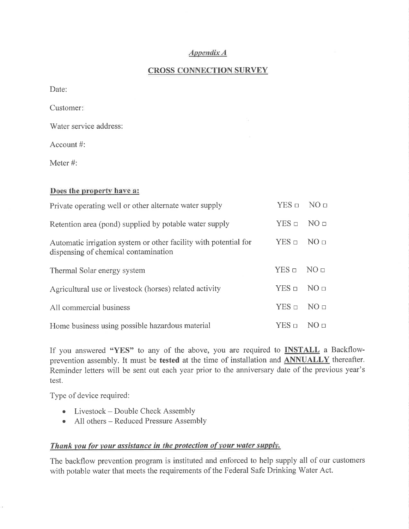#### Appendíx A

### **CROSS CONNECTION SURVEY**

Date:

Customer

Water service address:

Account #:

Meter #:

#### Does the property have a:

| Private operating well or other alternate water supply                                                   | $YES \Box NO \Box$ |                  |
|----------------------------------------------------------------------------------------------------------|--------------------|------------------|
| Retention area (pond) supplied by potable water supply                                                   | $YES$ $\square$    | NO <sub>□</sub>  |
| Automatic irrigation system or other facility with potential for<br>dispensing of chemical contamination |                    | NO <sub>II</sub> |
| Thermal Solar energy system                                                                              |                    | NO <sub>□</sub>  |
| Agricultural use or livestock (horses) related activity                                                  | $YES$ $\square$    | NO <sub>□</sub>  |
| All commercial business                                                                                  | $YES \square$      | NO <sub>□</sub>  |
| Home business using possible hazardous material                                                          |                    | NO n             |

If you answered "YES" to any of the above, you are required to **INSTALL** a Backflowprevention assembly. It must be tested at the time of installation and **ANNUALLY** thereafter. Reminder letters will be sent out each year prior to the anniversary date of the previous year's test.

Type of device required:

- Livestock Double Check Assembly
- o All others Reduced Pressure Assembly

### Thank you for your assistance in the protection of your water supply.

The backflow prevention program is instituted and enforced to help supply all of our customers with potable water that meets the requirements of the Federal Safe Drinking Water Act.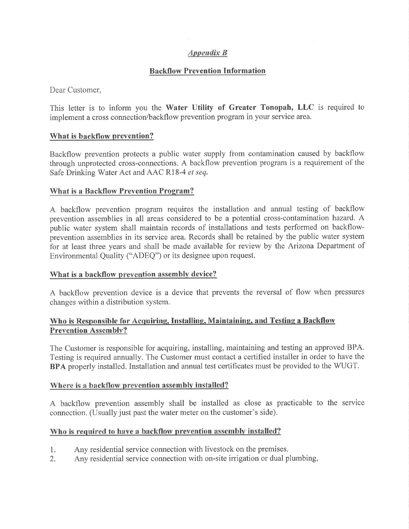### Appendíx B

### Backflow Prevention Information

Dear Customer,

This letter is to inform you the Water Utility of Greater Tonopah, LLC is required to implement a cross connection/backflow prevention program in your service area.

### What is backflow prevention?

Backflow prevention protects a public water supply from contamination caused by backflow through unprotected cross-connections. A backflow prevention program is a requirement of the Safe Drinking Water Act and AAC R18-4 et seq.

#### What is a Backflow Prevention Proqram?

A backflow prevention program requires the installation and annual testing of backflow prevention assemblies in all areas considered to be a potential cross-contamination hazard. A public water system shall maintain records of installations and tests performed on backflowprevention assemblies in its service area. Records shall be retained by the public water system for at least three years and shall be made available for review by the Arizona Department of Environmental Quality ("ADEQ") or its designee upon request.

#### What is a backflow prevention assembly device?

A backflow prevention device is a device that prevents the reversal of flow when pressures changes within a distribution system.

### Who is Responsible for Acquiring, Installing, Maintaining, and Testing a Backflow Prevention Assembly?

The Customer is responsible for acquiring, installing, maintaining and testing an approved BPA. Testing is required annually. The Customer must contact a certified installer in order to have the BPA properly installed. Installation and annual test certificates must be provided to the WUGT.

#### Where is a backflow prevention assembly installed?

A backflow prevention assembly shall be installed as close as practicable to the service connection. (Usually just past the water meter on the customer's side).

### Who is required to have a backflow prevention assembly installed?

- Any residential service connection with livestock on the premises. 1.
- Any residential service connection with on-site irrigation or dual plumbing, 2.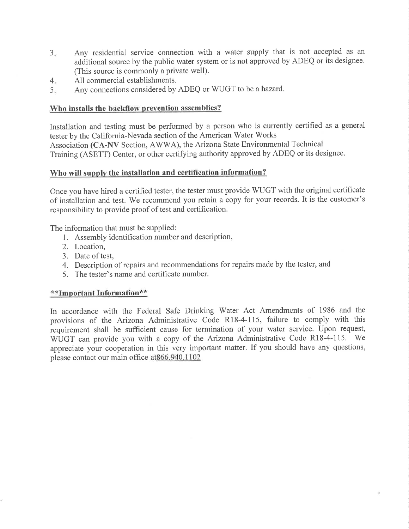- 3. Any residential service connection with a water supply that is not accepted as an additional source by the public water system or is not approved by ADEQ or its designee. (This source is commonly a private well).
- All commercial establishments.  $4.$
- Any connections considered by ADEQ or WUGT to be a hazard.  $5<sub>x</sub>$

### Who installs the backflow prevention assemblies?

Installation and testing must be performed by a person who is currently certified as a general tester by the California-Nevada section of the American Water Works Association (CA-NV Section, AWWA), the Arizona State Environmental Technical Training (ASETT) Center, or other certifying authority approved by ADEQ or its designee.

### Who will supply the installation and certification information?

Once you have hired a certified tester, the tester must provide WUGT with the original certificate of installation and test. We recommend you retain a copy for your records. It is the customer's responsibility to provide proof of test and certification.

The information that must be supplied:

- l. Assembly identification number and description,
- 2. Location,
- 3. Date of test,
- 4. Description of repairs and recommendations for repairs made by the tester, and
- 5. The tester's name and certificate number.

### \* \*Important Information\* \*

In accordance with the Federal Safe Drinking Water Act Amendments of 1986 and the provisions of the Arizona Administrative Code R18-4-115, failure to comply with this requirement shall be sufficient cause for termination of your water service. Upon request, WUGT can provide you with a copy of the Arizona Administrative Code R18-4-115. We appreciate your cooperation in this very important matter. If you should have any questions, please contact our main office at 866.940.1102.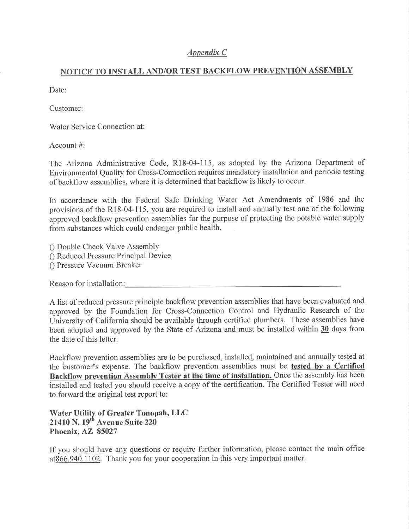### Appendix C

### NOTICE TO INSTALL AND/OR TEST BACKFLOW PREVENTION ASSEMBLY

Date:

Customer

Water Service Connection at:

Account #:

The Arizona Administrative Code, Rl8-04-115, as adopted by the Arizona Department of Environmental Quality for Cross-Connection requires mandatory installation and periodic testing of backflow assemblies, where it is determined that backflow is likely to occur.

In accordance with the Federal Safe Drinking Water Act Amendments of 1986 and the provisions of the R18-04-115, you are required to install and annually test one of the following approved backflow prevention assemblies for the purpose of protecting the potable water supply from substances which could endanger public health.

0 Double Check Valve Assembly 0 Reduced Pressure Principal Device 0 Pressure Vacuum Breaker

Reason for installation:

A list of reduced pressure principle backflow prevention assemblies that have been evaluated and approved by the Foundation for Cross-Connection Control and Hydraulic Research of the University of California should be available through certified plumbers. These assemblies have been adopted and approved by the State of Arizona and must be installed within 30 days from the date of this letter.

Backflow prevention assemblies are to be purchased, installed, maintained and annually tested at the customer's expense. The backflow prevention assemblies must be tested by a Certified Backflow prevention Assemblv Tester at the time of installation. Once the assembly has been installed and tested you should receive a copy of the certification. The Certified Tester will need to forward the original test report to:

Water Utility of Greater Tonopah, LLC  $21410$  N.  $19<sup>th</sup>$  Avenue Suite 220 Phoenix, AZ 85027

If you should have any questions or require further information, please contact the main office at 866.940.1102. Thank you for your cooperation in this very important matter.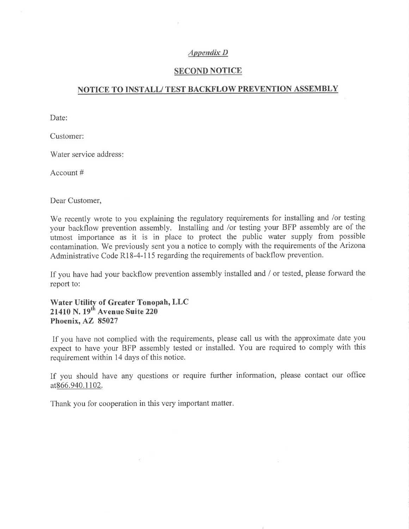#### Appendìx D

### SECOND NOTICE

#### NOTICE TO INSTALL/ TEST BACKFLOW PREVENTION ASSEMBLY

Date:

Customer:

Water service address

Account #

Dear Customer,

We recently wrote to you explaining the regulatory requirements for installing and /or testing your backflow prevention assembly. Installing and /or testing your BFP assembly are of the utmost importance as it is in place to protect the public water supply from possible contamination. We previously sent you a notice to comply with the requirements of the Arizona Administrative Code Rl8-4-115 regarding the requirements of backflow prevention.

If you have had your backflow prevention assembly installed and / or tested, please forward the report to:

Water Utilify of Greater Tonopah, LLC 21410 N.  $19<sup>th</sup>$  Avenue Suite 220 Phoenix, AZ 85027

If you have not complied with the requirements, please call us with the approximate date you expect to have your BFP assembly tested or installed. You are required to comply with this requirement within 14 days of this notice.

If you should have any questions or require further information, please contact our office at 866.940.1102.

Thank you for cooperation in this very important matter

 $\mathcal{F}^{\mathcal{A}}$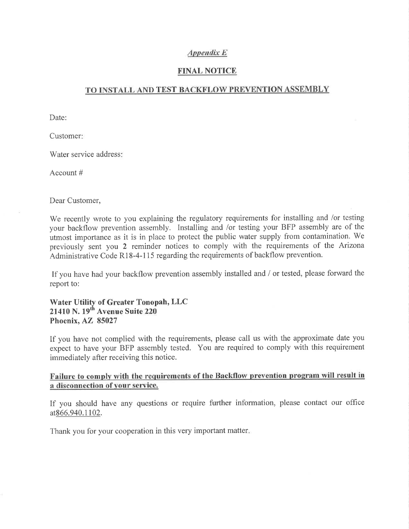#### Appendix E

### FINAL NOTICE

### TO INSTALL AND TEST BACKFLOW PREVENTION ASSEMBLY

Date:

Customer

Water service address:

Account #

Dear Customer,

We recently wrote to you explaining the regulatory requirements for installing and /or testing your backflow prevention assembly. Installing and /or testing your BFP assembly are of the utmost importance as it is in place to protect the public water supply from contamination. We previously sent you 2 reminder notices to comply with the requirements of the Arizona Administrative Code R18-4-115 regarding the requirements of backflow prevention.

If you have had your backflow prevention assembly installed and / or tested, please forward the report to:

Water Utility of Greater Tonopah, LLC 21410 N.  $19^{th}$  Avenue Suite 220 Phoenix, AZ 85027

If you have not complied with the requirements, please call us with the approximate date you expect to have your BFP assembly tested. You are required to comply with this requirement immediately after receiving this notice.

#### Failure to comply with the requirements of the Backflow prevention program will result in a disconnection of vour service.

If you should have any questions or require further information, please contact our office at866.940.1102.

Thank you for your cooperation in this very important matter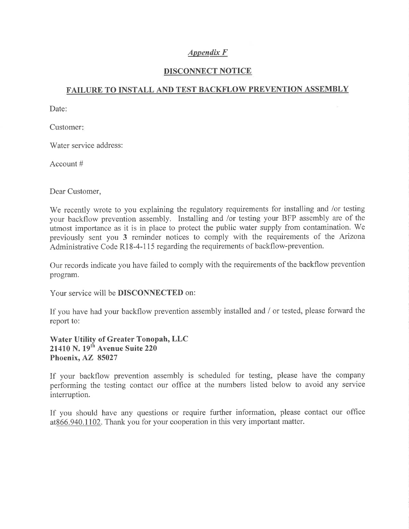### $Appendix F$

### DISCONNECT NOTICE

### FAILURE TO INSTALL AND TEST BACKFLOW PREVENTION ASSEMBLY

Date:

Customer

Water service address:

Account #

Dear Customer,

We recently wrote to you explaining the regulatory requirements for installing and /or testing your backflow prevention assembly. Installing and /or testing your BFP assembly are of the utmost importance as it is in place to protect the public water supply from contamination. We previously sent you 3 reminder notices to comply with the requirements of the Arizona Administrative Code Rl8-4-115 regarding the requirements of backflow-prevention.

Our records indicate you have failed to comply with the requirements of the backflow prevention program.

Your service will be DISCONNECTED on:

If you have had your backflow prevention assembly installed and / or tested, please forward the report to:

Water Utility of Greater Tonopah, LLC 21410 N. 19<sup>th</sup> Avenue Suite 220 Phoenix, AZ 85027

If your backflow prevention assembly is scheduled for testing, please have the company performing the testing contact our office at the numbers listed below to avoid any service interruption.

If you should have any questions or require further information, please contact our office at866.940.1102. Thank you for your cooperation in this very important matter.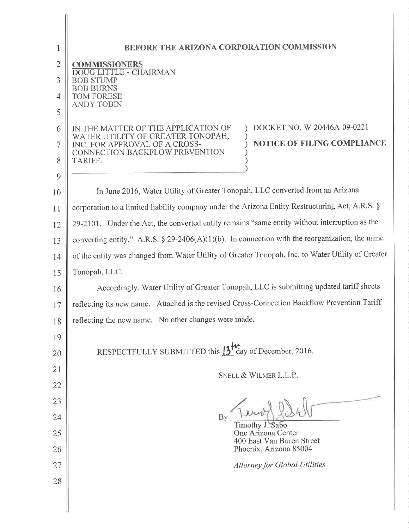| 1              | BEFORE THE ARIZONA CORPORATION COMMISSION                                                                |
|----------------|----------------------------------------------------------------------------------------------------------|
| $\overline{2}$ | COMMISSIONERS                                                                                            |
| 3              | <b>DOUG LITTLE - CHAIRMAN</b><br><b>BOB STUMP</b>                                                        |
| $\overline{4}$ | <b>BOB BURNS</b><br><b>TOM FORESE</b>                                                                    |
| 5              | <b>ANDY TOBIN</b>                                                                                        |
| 6              | DOCKET NO. W-20446A-09-0221<br>IN THE MATTER OF THE APPLICATION OF                                       |
| 7              | WATER UTILITY OF GREATER TONOPAH,<br><b>NOTICE OF FILING COMPLIANCE</b><br>INC. FOR APPROVAL OF A CROSS- |
| 8              | CONNECTION BACKFLOW PREVENTION<br>TARIFF.                                                                |
| 9              |                                                                                                          |
| 10             | In June 2016, Water Utility of Greater Tonopah, LLC converted from an Arizona                            |
| 11             | corporation to a limited liability company under the Arizona Entity Restructuring Act, A.R.S. §          |
| 12             | 29-2101. Under the Act, the converted entity remains "same entity without interruption as the            |
| 13             | converting entity." A.R.S. $\S 29-2406(A)(1)(b)$ . In connection with the reorganization, the name       |
| 14             | of the entity was changed from Water Utility of Greater Tonopah, Inc. to Water Utility of Greater        |
| 15             | Tonopah, LLC.                                                                                            |
| 16             | Accordingly, Water Utility of Greater Tonopah, LLC is submitting updated tariff sheets                   |
| 17             | reflecting its new name. Attached is the revised Cross-Connection Backflow Prevention Tariff             |
| 18             | reflecting the new name. No other changes were made.                                                     |
| 19             |                                                                                                          |
| 20             | RESPECTFULLY SUBMITTED this 13 <sup>th</sup> day of December, 2016.                                      |
| 21             | SNELL & WILMER L.L.P.                                                                                    |
| 22             |                                                                                                          |
| 23             |                                                                                                          |
| 24             | By<br>Timothy J. Sabo                                                                                    |
| 25             | One Arizona Center<br>400 East Van Buren Street                                                          |
| 26             | Phoenix, Arizona 85004                                                                                   |
| 27             | <b>Attorney for Global Utilities</b>                                                                     |
| 28             |                                                                                                          |
|                |                                                                                                          |
|                |                                                                                                          |